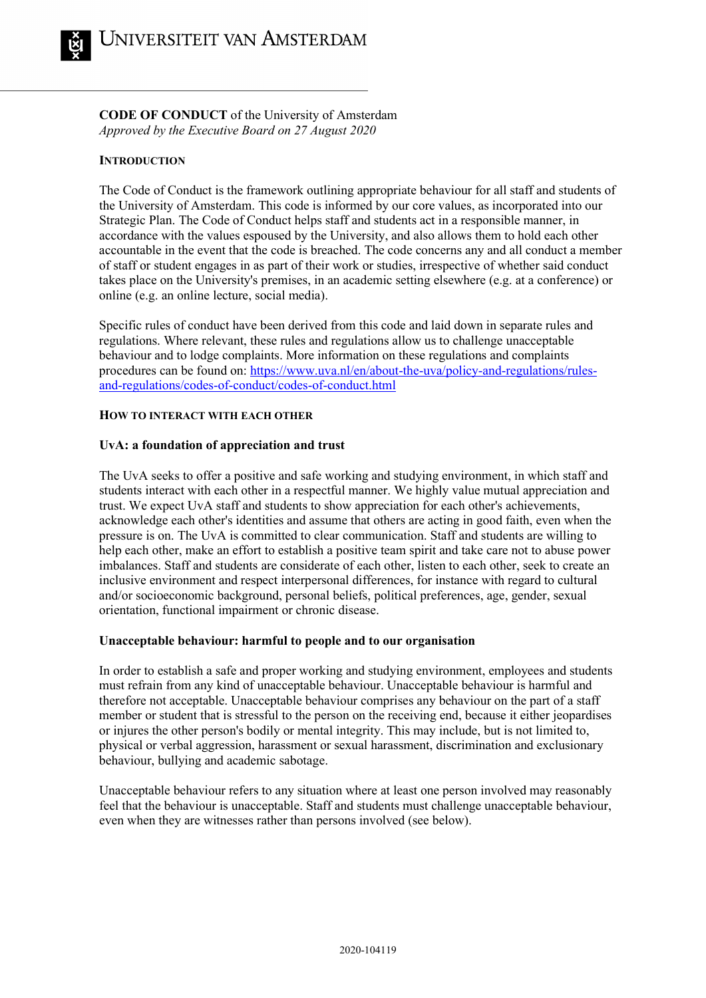**CODE OF CONDUCT** of the University of Amsterdam *Approved by the Executive Board on 27 August 2020*

# **INTRODUCTION**

The Code of Conduct is the framework outlining appropriate behaviour for all staff and students of the University of Amsterdam. This code is informed by our core values, as incorporated into our Strategic Plan. The Code of Conduct helps staff and students act in a responsible manner, in accordance with the values espoused by the University, and also allows them to hold each other accountable in the event that the code is breached. The code concerns any and all conduct a member of staff or student engages in as part of their work or studies, irrespective of whether said conduct takes place on the University's premises, in an academic setting elsewhere (e.g. at a conference) or online (e.g. an online lecture, social media).

Specific rules of conduct have been derived from this code and laid down in separate rules and regulations. Where relevant, these rules and regulations allow us to challenge unacceptable behaviour and to lodge complaints. More information on these regulations and complaints procedures can be found on: [https://www.uva.nl/en/about-the-uva/policy-and-regulations/rules](https://www.uva.nl/en/about-the-uva/policy-and-regulations/rules-and-regulations/codes-of-conduct/codes-of-conduct.html)[and-regulations/codes-of-conduct/codes-of-conduct.html](https://www.uva.nl/en/about-the-uva/policy-and-regulations/rules-and-regulations/codes-of-conduct/codes-of-conduct.html)

# **HOW TO INTERACT WITH EACH OTHER**

# **UvA: a foundation of appreciation and trust**

The UvA seeks to offer a positive and safe working and studying environment, in which staff and students interact with each other in a respectful manner. We highly value mutual appreciation and trust. We expect UvA staff and students to show appreciation for each other's achievements, acknowledge each other's identities and assume that others are acting in good faith, even when the pressure is on. The UvA is committed to clear communication. Staff and students are willing to help each other, make an effort to establish a positive team spirit and take care not to abuse power imbalances. Staff and students are considerate of each other, listen to each other, seek to create an inclusive environment and respect interpersonal differences, for instance with regard to cultural and/or socioeconomic background, personal beliefs, political preferences, age, gender, sexual orientation, functional impairment or chronic disease.

# **Unacceptable behaviour: harmful to people and to our organisation**

In order to establish a safe and proper working and studying environment, employees and students must refrain from any kind of unacceptable behaviour. Unacceptable behaviour is harmful and therefore not acceptable. Unacceptable behaviour comprises any behaviour on the part of a staff member or student that is stressful to the person on the receiving end, because it either jeopardises or injures the other person's bodily or mental integrity. This may include, but is not limited to, physical or verbal aggression, harassment or sexual harassment, discrimination and exclusionary behaviour, bullying and academic sabotage.

Unacceptable behaviour refers to any situation where at least one person involved may reasonably feel that the behaviour is unacceptable. Staff and students must challenge unacceptable behaviour, even when they are witnesses rather than persons involved (see below).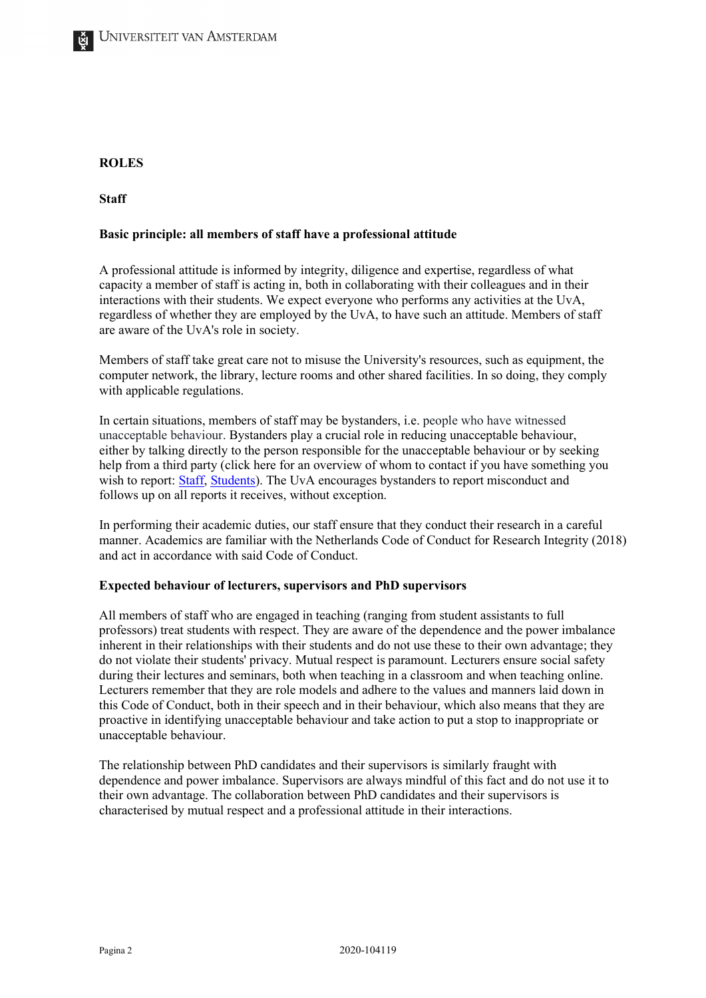# **ROLES**

**Staff**

## **Basic principle: all members of staff have a professional attitude**

A professional attitude is informed by integrity, diligence and expertise, regardless of what capacity a member of staff is acting in, both in collaborating with their colleagues and in their interactions with their students. We expect everyone who performs any activities at the UvA, regardless of whether they are employed by the UvA, to have such an attitude. Members of staff are aware of the UvA's role in society.

Members of staff take great care not to misuse the University's resources, such as equipment, the computer network, the library, lecture rooms and other shared facilities. In so doing, they comply with applicable regulations.

In certain situations, members of staff may be bystanders, i.e. people who have witnessed unacceptable behaviour. Bystanders play a crucial role in reducing unacceptable behaviour, either by talking directly to the person responsible for the unacceptable behaviour or by seeking help from a third party (click here for an overview of whom to contact if you have something you wish to report: [Staff,](https://www.uva.nl/en/shared-content/subsites/extranet/en/a-z/social-safety/social-safety.html) [Students\)](https://www.uva.nl/en/shared-content/studentensites/uva-studentensite/en/az/social-safety/social-safety.html). The UvA encourages bystanders to report misconduct and follows up on all reports it receives, without exception.

In performing their academic duties, our staff ensure that they conduct their research in a careful manner. Academics are familiar with the Netherlands Code of Conduct for Research Integrity (2018) and act in accordance with said Code of Conduct.

## **Expected behaviour of lecturers, supervisors and PhD supervisors**

All members of staff who are engaged in teaching (ranging from student assistants to full professors) treat students with respect. They are aware of the dependence and the power imbalance inherent in their relationships with their students and do not use these to their own advantage; they do not violate their students' privacy. Mutual respect is paramount. Lecturers ensure social safety during their lectures and seminars, both when teaching in a classroom and when teaching online. Lecturers remember that they are role models and adhere to the values and manners laid down in this Code of Conduct, both in their speech and in their behaviour, which also means that they are proactive in identifying unacceptable behaviour and take action to put a stop to inappropriate or unacceptable behaviour.

The relationship between PhD candidates and their supervisors is similarly fraught with dependence and power imbalance. Supervisors are always mindful of this fact and do not use it to their own advantage. The collaboration between PhD candidates and their supervisors is characterised by mutual respect and a professional attitude in their interactions.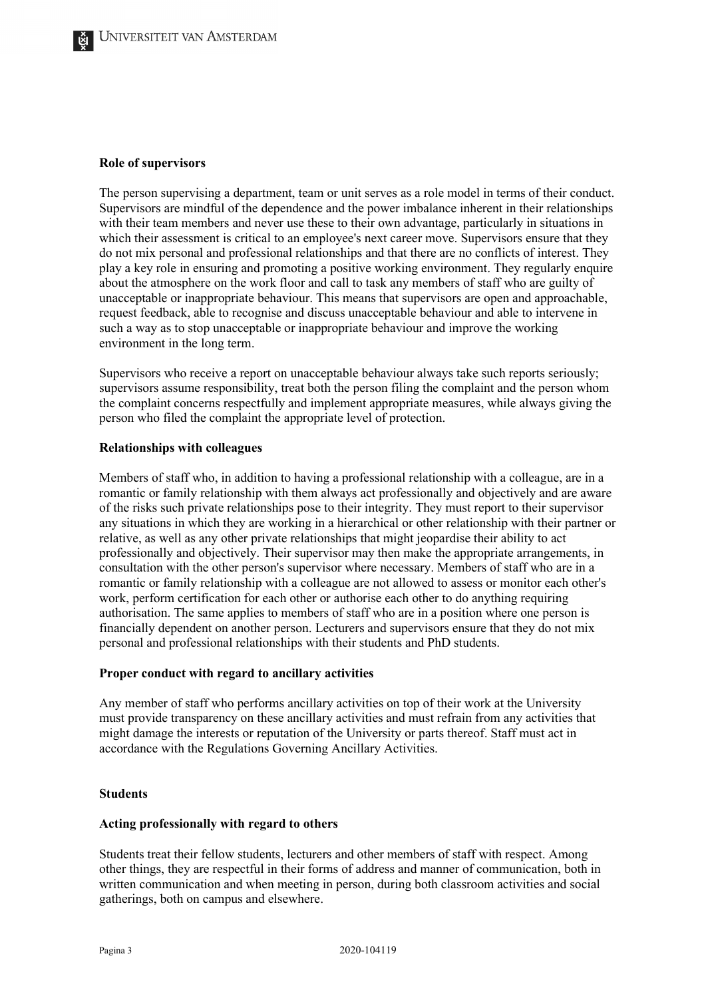#### **Role of supervisors**

The person supervising a department, team or unit serves as a role model in terms of their conduct. Supervisors are mindful of the dependence and the power imbalance inherent in their relationships with their team members and never use these to their own advantage, particularly in situations in which their assessment is critical to an employee's next career move. Supervisors ensure that they do not mix personal and professional relationships and that there are no conflicts of interest. They play a key role in ensuring and promoting a positive working environment. They regularly enquire about the atmosphere on the work floor and call to task any members of staff who are guilty of unacceptable or inappropriate behaviour. This means that supervisors are open and approachable, request feedback, able to recognise and discuss unacceptable behaviour and able to intervene in such a way as to stop unacceptable or inappropriate behaviour and improve the working environment in the long term.

Supervisors who receive a report on unacceptable behaviour always take such reports seriously; supervisors assume responsibility, treat both the person filing the complaint and the person whom the complaint concerns respectfully and implement appropriate measures, while always giving the person who filed the complaint the appropriate level of protection.

### **Relationships with colleagues**

Members of staff who, in addition to having a professional relationship with a colleague, are in a romantic or family relationship with them always act professionally and objectively and are aware of the risks such private relationships pose to their integrity. They must report to their supervisor any situations in which they are working in a hierarchical or other relationship with their partner or relative, as well as any other private relationships that might jeopardise their ability to act professionally and objectively. Their supervisor may then make the appropriate arrangements, in consultation with the other person's supervisor where necessary. Members of staff who are in a romantic or family relationship with a colleague are not allowed to assess or monitor each other's work, perform certification for each other or authorise each other to do anything requiring authorisation. The same applies to members of staff who are in a position where one person is financially dependent on another person. Lecturers and supervisors ensure that they do not mix personal and professional relationships with their students and PhD students.

### **Proper conduct with regard to ancillary activities**

Any member of staff who performs ancillary activities on top of their work at the University must provide transparency on these ancillary activities and must refrain from any activities that might damage the interests or reputation of the University or parts thereof. Staff must act in accordance with the Regulations Governing Ancillary Activities.

## **Students**

### **Acting professionally with regard to others**

Students treat their fellow students, lecturers and other members of staff with respect. Among other things, they are respectful in their forms of address and manner of communication, both in written communication and when meeting in person, during both classroom activities and social gatherings, both on campus and elsewhere.